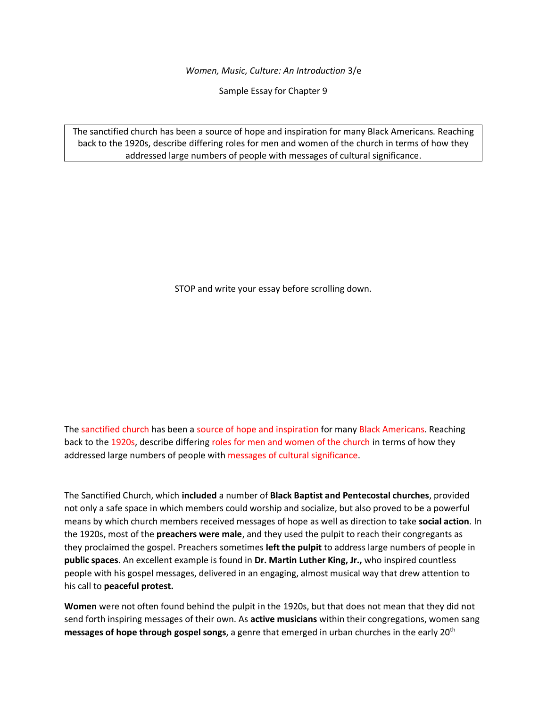*Women, Music, Culture: An Introduction* 3/e

Sample Essay for Chapter 9

The sanctified church has been a source of hope and inspiration for many Black Americans. Reaching back to the 1920s, describe differing roles for men and women of the church in terms of how they addressed large numbers of people with messages of cultural significance.

STOP and write your essay before scrolling down.

The sanctified church has been a source of hope and inspiration for many Black Americans. Reaching back to the 1920s, describe differing roles for men and women of the church in terms of how they addressed large numbers of people with messages of cultural significance.

The Sanctified Church, which **included** a number of **Black Baptist and Pentecostal churches**, provided not only a safe space in which members could worship and socialize, but also proved to be a powerful means by which church members received messages of hope as well as direction to take **social action**. In the 1920s, most of the **preachers were male**, and they used the pulpit to reach their congregants as they proclaimed the gospel. Preachers sometimes **left the pulpit** to address large numbers of people in **public spaces**. An excellent example is found in **Dr. Martin Luther King, Jr.,** who inspired countless people with his gospel messages, delivered in an engaging, almost musical way that drew attention to his call to **peaceful protest.**

**Women** were not often found behind the pulpit in the 1920s, but that does not mean that they did not send forth inspiring messages of their own. As **active musicians** within their congregations, women sang **messages of hope through gospel songs**, a genre that emerged in urban churches in the early 20th